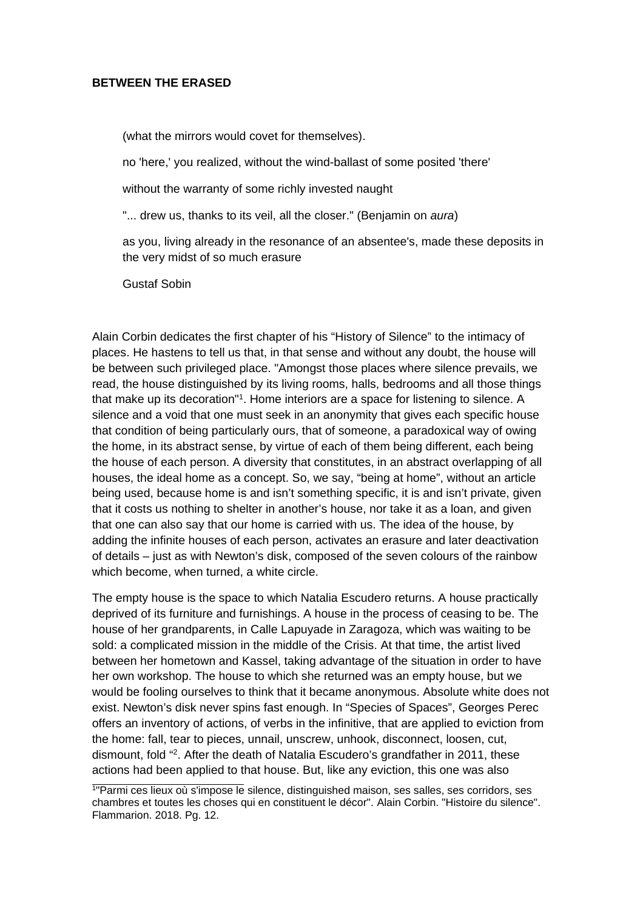## **BETWEEN THE ERASED**

(what the mirrors would covet for themselves).

no 'here,' you realized, without the wind-ballast of some posited 'there'

without the warranty of some richly invested naught

"... drew us, thanks to its veil, all the closer." (Benjamin on *aura*)

as you, living already in the resonance of an absentee's, made these deposits in the very midst of so much erasure

Gustaf Sobin

Alain Corbin dedicates the first chapter of his "History of Silence" to the intimacy of places. He hastens to tell us that, in that sense and without any doubt, the house will be between such privileged place. "Amongst those places where silence prevails, we read, the house distinguished by its living rooms, halls, bedrooms and all those things that make up its decoration"<sup>[1](#page-0-0)</sup>. Home interiors are a space for listening to silence. A silence and a void that one must seek in an anonymity that gives each specific house that condition of being particularly ours, that of someone, a paradoxical way of owing the home, in its abstract sense, by virtue of each of them being different, each being the house of each person. A diversity that constitutes, in an abstract overlapping of all houses, the ideal home as a concept. So, we say, "being at home", without an article being used, because home is and isn't something specific, it is and isn't private, given that it costs us nothing to shelter in another's house, nor take it as a loan, and given that one can also say that our home is carried with us. The idea of the house, by adding the infinite houses of each person, activates an erasure and later deactivation of details – just as with Newton's disk, composed of the seven colours of the rainbow which become, when turned, a white circle.

The empty house is the space to which Natalia Escudero returns. A house practically deprived of its furniture and furnishings. A house in the process of ceasing to be. The house of her grandparents, in Calle Lapuyade in Zaragoza, which was waiting to be sold: a complicated mission in the middle of the Crisis. At that time, the artist lived between her hometown and Kassel, taking advantage of the situation in order to have her own workshop. The house to which she returned was an empty house, but we would be fooling ourselves to think that it became anonymous. Absolute white does not exist. Newton's disk never spins fast enough. In "Species of Spaces", Georges Perec offers an inventory of actions, of verbs in the infinitive, that are applied to eviction from the home: fall, tear to pieces, unnail, unscrew, unhook, disconnect, loosen, cut, dismount, fold "[2](#page-1-0) . After the death of Natalia Escudero's grandfather in 2011, these actions had been applied to that house. But, like any eviction, this one was also

<span id="page-0-0"></span><sup>1</sup> "Parmi ces lieux où s'impose le silence, distinguished maison, ses salles, ses corridors, ses chambres et toutes les choses qui en constituent le décor". Alain Corbin. "Histoire du silence". Flammarion. 2018. Pg. 12.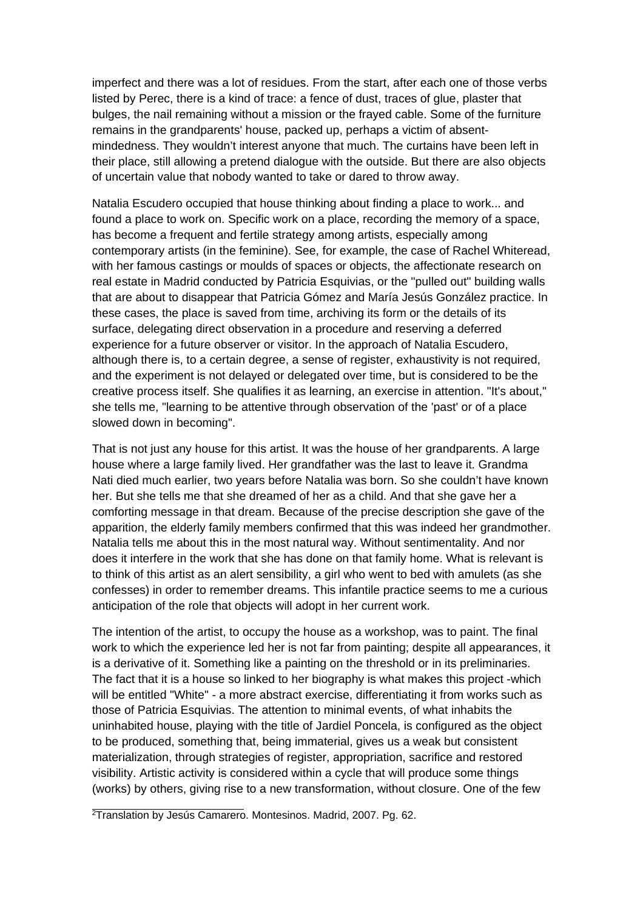imperfect and there was a lot of residues. From the start, after each one of those verbs listed by Perec, there is a kind of trace: a fence of dust, traces of glue, plaster that bulges, the nail remaining without a mission or the frayed cable. Some of the furniture remains in the grandparents' house, packed up, perhaps a victim of absentmindedness. They wouldn't interest anyone that much. The curtains have been left in their place, still allowing a pretend dialogue with the outside. But there are also objects of uncertain value that nobody wanted to take or dared to throw away.

Natalia Escudero occupied that house thinking about finding a place to work... and found a place to work on. Specific work on a place, recording the memory of a space, has become a frequent and fertile strategy among artists, especially among contemporary artists (in the feminine). See, for example, the case of Rachel Whiteread, with her famous castings or moulds of spaces or objects, the affectionate research on real estate in Madrid conducted by Patricia Esquivias, or the "pulled out" building walls that are about to disappear that Patricia Gómez and María Jesús González practice. In these cases, the place is saved from time, archiving its form or the details of its surface, delegating direct observation in a procedure and reserving a deferred experience for a future observer or visitor. In the approach of Natalia Escudero, although there is, to a certain degree, a sense of register, exhaustivity is not required, and the experiment is not delayed or delegated over time, but is considered to be the creative process itself. She qualifies it as learning, an exercise in attention. "It's about," she tells me, "learning to be attentive through observation of the 'past' or of a place slowed down in becoming".

That is not just any house for this artist. It was the house of her grandparents. A large house where a large family lived. Her grandfather was the last to leave it. Grandma Nati died much earlier, two years before Natalia was born. So she couldn't have known her. But she tells me that she dreamed of her as a child. And that she gave her a comforting message in that dream. Because of the precise description she gave of the apparition, the elderly family members confirmed that this was indeed her grandmother. Natalia tells me about this in the most natural way. Without sentimentality. And nor does it interfere in the work that she has done on that family home. What is relevant is to think of this artist as an alert sensibility, a girl who went to bed with amulets (as she confesses) in order to remember dreams. This infantile practice seems to me a curious anticipation of the role that objects will adopt in her current work.

The intention of the artist, to occupy the house as a workshop, was to paint. The final work to which the experience led her is not far from painting; despite all appearances, it is a derivative of it. Something like a painting on the threshold or in its preliminaries. The fact that it is a house so linked to her biography is what makes this project -which will be entitled "White" - a more abstract exercise, differentiating it from works such as those of Patricia Esquivias. The attention to minimal events, of what inhabits the uninhabited house, playing with the title of Jardiel Poncela, is configured as the object to be produced, something that, being immaterial, gives us a weak but consistent materialization, through strategies of register, appropriation, sacrifice and restored visibility. Artistic activity is considered within a cycle that will produce some things (works) by others, giving rise to a new transformation, without closure. One of the few

<span id="page-1-0"></span><sup>&</sup>lt;sup>2</sup>Translation by Jesús Camarero. Montesinos. Madrid, 2007. Pg. 62.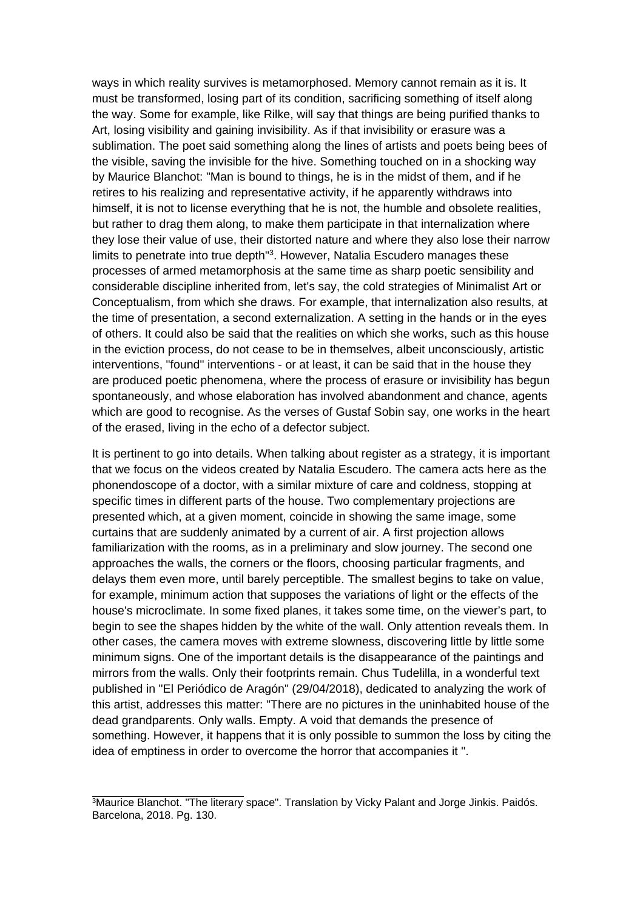ways in which reality survives is metamorphosed. Memory cannot remain as it is. It must be transformed, losing part of its condition, sacrificing something of itself along the way. Some for example, like Rilke, will say that things are being purified thanks to Art, losing visibility and gaining invisibility. As if that invisibility or erasure was a sublimation. The poet said something along the lines of artists and poets being bees of the visible, saving the invisible for the hive. Something touched on in a shocking way by Maurice Blanchot: "Man is bound to things, he is in the midst of them, and if he retires to his realizing and representative activity, if he apparently withdraws into himself, it is not to license everything that he is not, the humble and obsolete realities, but rather to drag them along, to make them participate in that internalization where they lose their value of use, their distorted nature and where they also lose their narrow limits to penetrate into true depth"[3](#page-2-0) . However, Natalia Escudero manages these processes of armed metamorphosis at the same time as sharp poetic sensibility and considerable discipline inherited from, let's say, the cold strategies of Minimalist Art or Conceptualism, from which she draws. For example, that internalization also results, at the time of presentation, a second externalization. A setting in the hands or in the eyes of others. It could also be said that the realities on which she works, such as this house in the eviction process, do not cease to be in themselves, albeit unconsciously, artistic interventions, "found" interventions - or at least, it can be said that in the house they are produced poetic phenomena, where the process of erasure or invisibility has begun spontaneously, and whose elaboration has involved abandonment and chance, agents which are good to recognise. As the verses of Gustaf Sobin say, one works in the heart of the erased, living in the echo of a defector subject.

It is pertinent to go into details. When talking about register as a strategy, it is important that we focus on the videos created by Natalia Escudero. The camera acts here as the phonendoscope of a doctor, with a similar mixture of care and coldness, stopping at specific times in different parts of the house. Two complementary projections are presented which, at a given moment, coincide in showing the same image, some curtains that are suddenly animated by a current of air. A first projection allows familiarization with the rooms, as in a preliminary and slow journey. The second one approaches the walls, the corners or the floors, choosing particular fragments, and delays them even more, until barely perceptible. The smallest begins to take on value, for example, minimum action that supposes the variations of light or the effects of the house's microclimate. In some fixed planes, it takes some time, on the viewer's part, to begin to see the shapes hidden by the white of the wall. Only attention reveals them. In other cases, the camera moves with extreme slowness, discovering little by little some minimum signs. One of the important details is the disappearance of the paintings and mirrors from the walls. Only their footprints remain. Chus Tudelilla, in a wonderful text published in "El Periódico de Aragón" (29/04/2018), dedicated to analyzing the work of this artist, addresses this matter: "There are no pictures in the uninhabited house of the dead grandparents. Only walls. Empty. A void that demands the presence of something. However, it happens that it is only possible to summon the loss by citing the idea of emptiness in order to overcome the horror that accompanies it ".

<span id="page-2-0"></span><sup>&</sup>lt;sup>3</sup>Maurice Blanchot. "The literary space". Translation by Vicky Palant and Jorge Jinkis. Paidós. Barcelona, 2018. Pg. 130.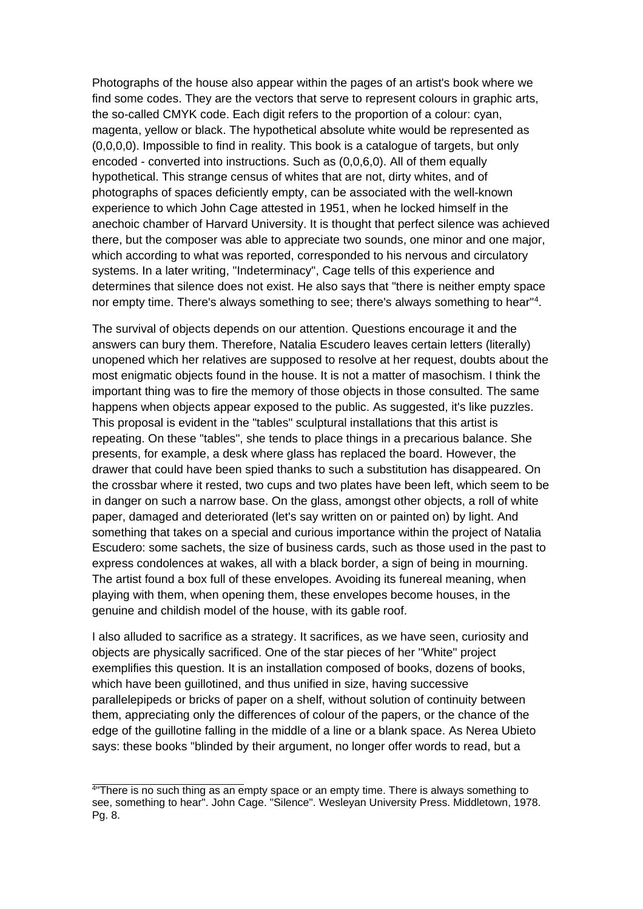Photographs of the house also appear within the pages of an artist's book where we find some codes. They are the vectors that serve to represent colours in graphic arts, the so-called CMYK code. Each digit refers to the proportion of a colour: cyan, magenta, yellow or black. The hypothetical absolute white would be represented as (0,0,0,0). Impossible to find in reality. This book is a catalogue of targets, but only encoded - converted into instructions. Such as (0,0,6,0). All of them equally hypothetical. This strange census of whites that are not, dirty whites, and of photographs of spaces deficiently empty, can be associated with the well-known experience to which John Cage attested in 1951, when he locked himself in the anechoic chamber of Harvard University. It is thought that perfect silence was achieved there, but the composer was able to appreciate two sounds, one minor and one major, which according to what was reported, corresponded to his nervous and circulatory systems. In a later writing, "Indeterminacy", Cage tells of this experience and determines that silence does not exist. He also says that "there is neither empty space nor empty time. There's always something to see; there's always something to hear"[4](#page-3-0) .

The survival of objects depends on our attention. Questions encourage it and the answers can bury them. Therefore, Natalia Escudero leaves certain letters (literally) unopened which her relatives are supposed to resolve at her request, doubts about the most enigmatic objects found in the house. It is not a matter of masochism. I think the important thing was to fire the memory of those objects in those consulted. The same happens when objects appear exposed to the public. As suggested, it's like puzzles. This proposal is evident in the "tables" sculptural installations that this artist is repeating. On these "tables", she tends to place things in a precarious balance. She presents, for example, a desk where glass has replaced the board. However, the drawer that could have been spied thanks to such a substitution has disappeared. On the crossbar where it rested, two cups and two plates have been left, which seem to be in danger on such a narrow base. On the glass, amongst other objects, a roll of white paper, damaged and deteriorated (let's say written on or painted on) by light. And something that takes on a special and curious importance within the project of Natalia Escudero: some sachets, the size of business cards, such as those used in the past to express condolences at wakes, all with a black border, a sign of being in mourning. The artist found a box full of these envelopes. Avoiding its funereal meaning, when playing with them, when opening them, these envelopes become houses, in the genuine and childish model of the house, with its gable roof.

I also alluded to sacrifice as a strategy. It sacrifices, as we have seen, curiosity and objects are physically sacrificed. One of the star pieces of her "White" project exemplifies this question. It is an installation composed of books, dozens of books, which have been guillotined, and thus unified in size, having successive parallelepipeds or bricks of paper on a shelf, without solution of continuity between them, appreciating only the differences of colour of the papers, or the chance of the edge of the guillotine falling in the middle of a line or a blank space. As Nerea Ubieto says: these books "blinded by their argument, no longer offer words to read, but a

<span id="page-3-0"></span><sup>4</sup> "There is no such thing as an empty space or an empty time. There is always something to see, something to hear". John Cage. "Silence". Wesleyan University Press. Middletown, 1978. Pg. 8.